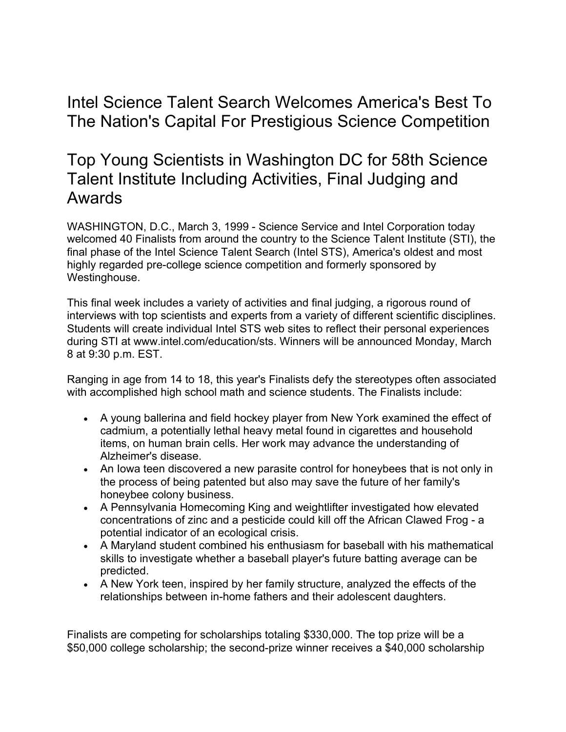## Intel Science Talent Search Welcomes America's Best To The Nation's Capital For Prestigious Science Competition

## Top Young Scientists in Washington DC for 58th Science Talent Institute Including Activities, Final Judging and Awards

WASHINGTON, D.C., March 3, 1999 - Science Service and Intel Corporation today welcomed 40 Finalists from around the country to the Science Talent Institute (STI), the final phase of the Intel Science Talent Search (Intel STS), America's oldest and most highly regarded pre-college science competition and formerly sponsored by Westinghouse.

This final week includes a variety of activities and final judging, a rigorous round of interviews with top scientists and experts from a variety of different scientific disciplines. Students will create individual Intel STS web sites to reflect their personal experiences during STI at www.intel.com/education/sts. Winners will be announced Monday, March 8 at 9:30 p.m. EST.

Ranging in age from 14 to 18, this year's Finalists defy the stereotypes often associated with accomplished high school math and science students. The Finalists include:

- A young ballerina and field hockey player from New York examined the effect of cadmium, a potentially lethal heavy metal found in cigarettes and household items, on human brain cells. Her work may advance the understanding of Alzheimer's disease.
- An Iowa teen discovered a new parasite control for honeybees that is not only in the process of being patented but also may save the future of her family's honeybee colony business.
- A Pennsylvania Homecoming King and weightlifter investigated how elevated concentrations of zinc and a pesticide could kill off the African Clawed Frog - a potential indicator of an ecological crisis.
- A Maryland student combined his enthusiasm for baseball with his mathematical skills to investigate whether a baseball player's future batting average can be predicted.
- A New York teen, inspired by her family structure, analyzed the effects of the relationships between in-home fathers and their adolescent daughters.

Finalists are competing for scholarships totaling \$330,000. The top prize will be a \$50,000 college scholarship; the second-prize winner receives a \$40,000 scholarship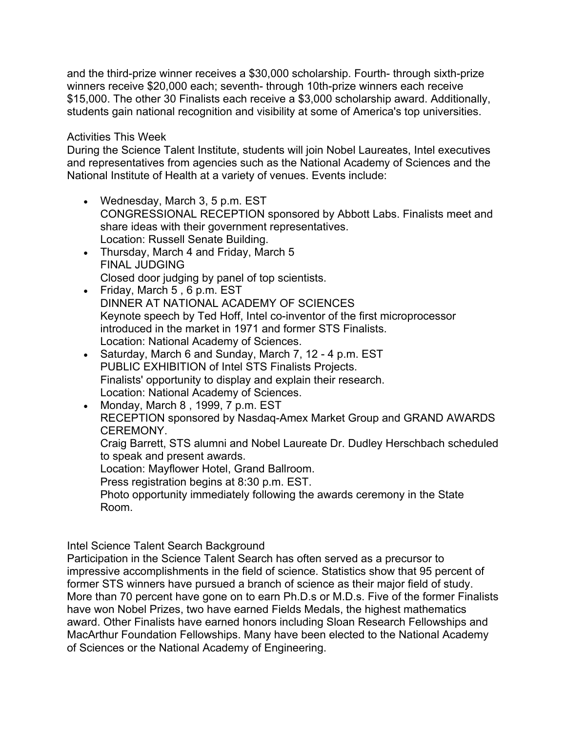and the third-prize winner receives a \$30,000 scholarship. Fourth- through sixth-prize winners receive \$20,000 each; seventh- through 10th-prize winners each receive \$15,000. The other 30 Finalists each receive a \$3,000 scholarship award. Additionally, students gain national recognition and visibility at some of America's top universities.

## Activities This Week

During the Science Talent Institute, students will join Nobel Laureates, Intel executives and representatives from agencies such as the National Academy of Sciences and the National Institute of Health at a variety of venues. Events include:

- Wednesday, March 3, 5 p.m. EST CONGRESSIONAL RECEPTION sponsored by Abbott Labs. Finalists meet and share ideas with their government representatives. Location: Russell Senate Building.
- Thursday, March 4 and Friday, March 5 FINAL JUDGING Closed door judging by panel of top scientists.
- Friday, March 5 , 6 p.m. EST DINNER AT NATIONAL ACADEMY OF SCIENCES Keynote speech by Ted Hoff, Intel co-inventor of the first microprocessor introduced in the market in 1971 and former STS Finalists. Location: National Academy of Sciences.
- Saturday, March 6 and Sunday, March 7, 12 4 p.m. EST PUBLIC EXHIBITION of Intel STS Finalists Projects. Finalists' opportunity to display and explain their research. Location: National Academy of Sciences.
- Monday, March 8 , 1999, 7 p.m. EST RECEPTION sponsored by Nasdaq-Amex Market Group and GRAND AWARDS CEREMONY. Craig Barrett, STS alumni and Nobel Laureate Dr. Dudley Herschbach scheduled to speak and present awards.

Location: Mayflower Hotel, Grand Ballroom.

Press registration begins at 8:30 p.m. EST.

Photo opportunity immediately following the awards ceremony in the State Room.

Intel Science Talent Search Background

Participation in the Science Talent Search has often served as a precursor to impressive accomplishments in the field of science. Statistics show that 95 percent of former STS winners have pursued a branch of science as their major field of study. More than 70 percent have gone on to earn Ph.D.s or M.D.s. Five of the former Finalists have won Nobel Prizes, two have earned Fields Medals, the highest mathematics award. Other Finalists have earned honors including Sloan Research Fellowships and MacArthur Foundation Fellowships. Many have been elected to the National Academy of Sciences or the National Academy of Engineering.